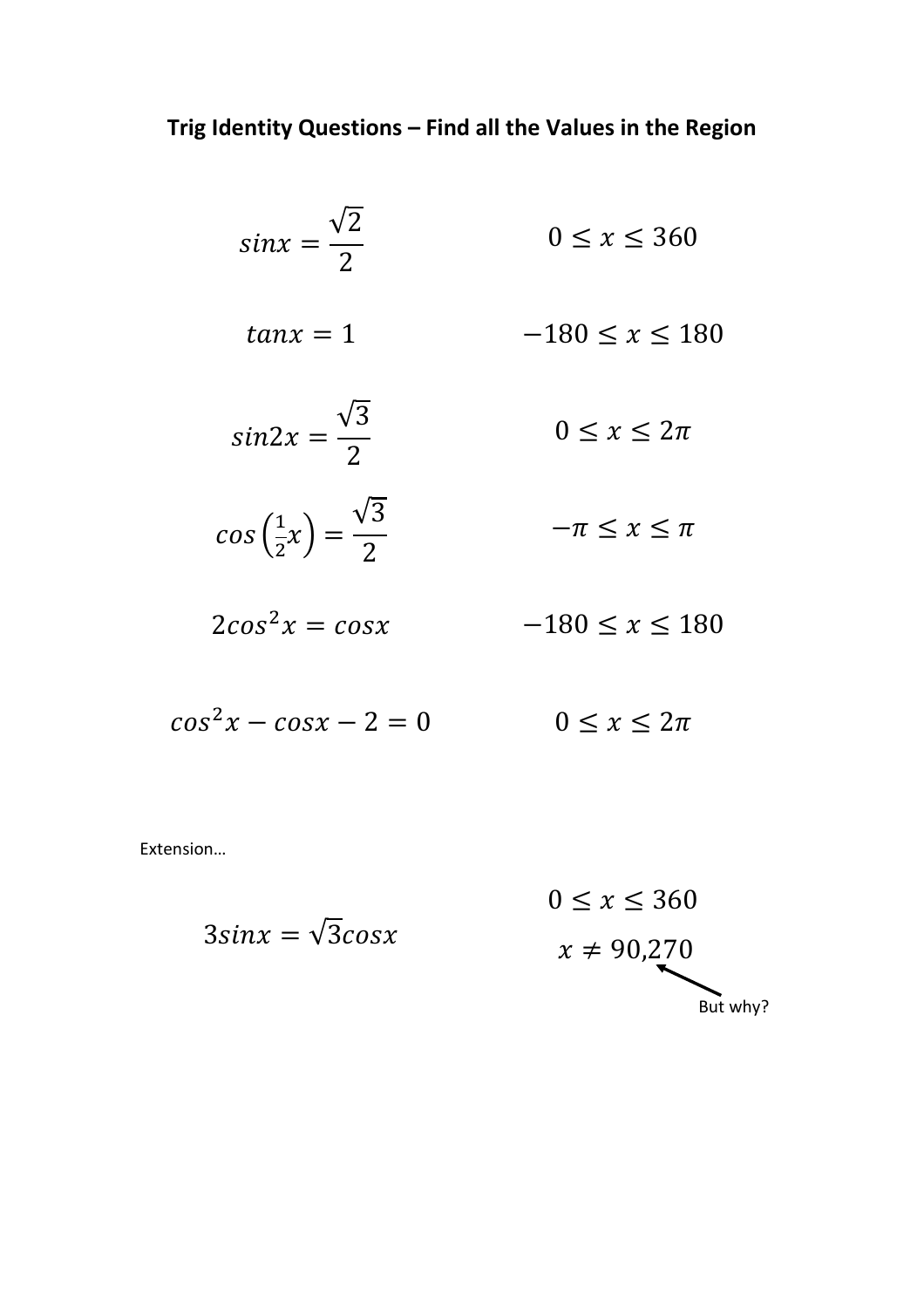| $sinx = \frac{\sqrt{2}}{2}$                         | $0 \leq x \leq 360$    |
|-----------------------------------------------------|------------------------|
| $tan x = 1$                                         | $-180 \leq x \leq 180$ |
| $sin 2x = \frac{\sqrt{3}}{2}$                       | $0 \leq x \leq 2\pi$   |
| $cos\left(\frac{1}{2}x\right) = \frac{\sqrt{3}}{2}$ | $-\pi \leq x \leq \pi$ |
| $2cos^2 x = cosx$                                   | $-180 \le x \le 180$   |
|                                                     |                        |

 $cos^2 x - cos x - 2 = 0$   $0 \le x \le 2\pi$ 

Extension…

$$
0 \le x \le 360
$$
  
3sinx =  $\sqrt{3}cosx$   
 $x \ne 90,270$   
But why?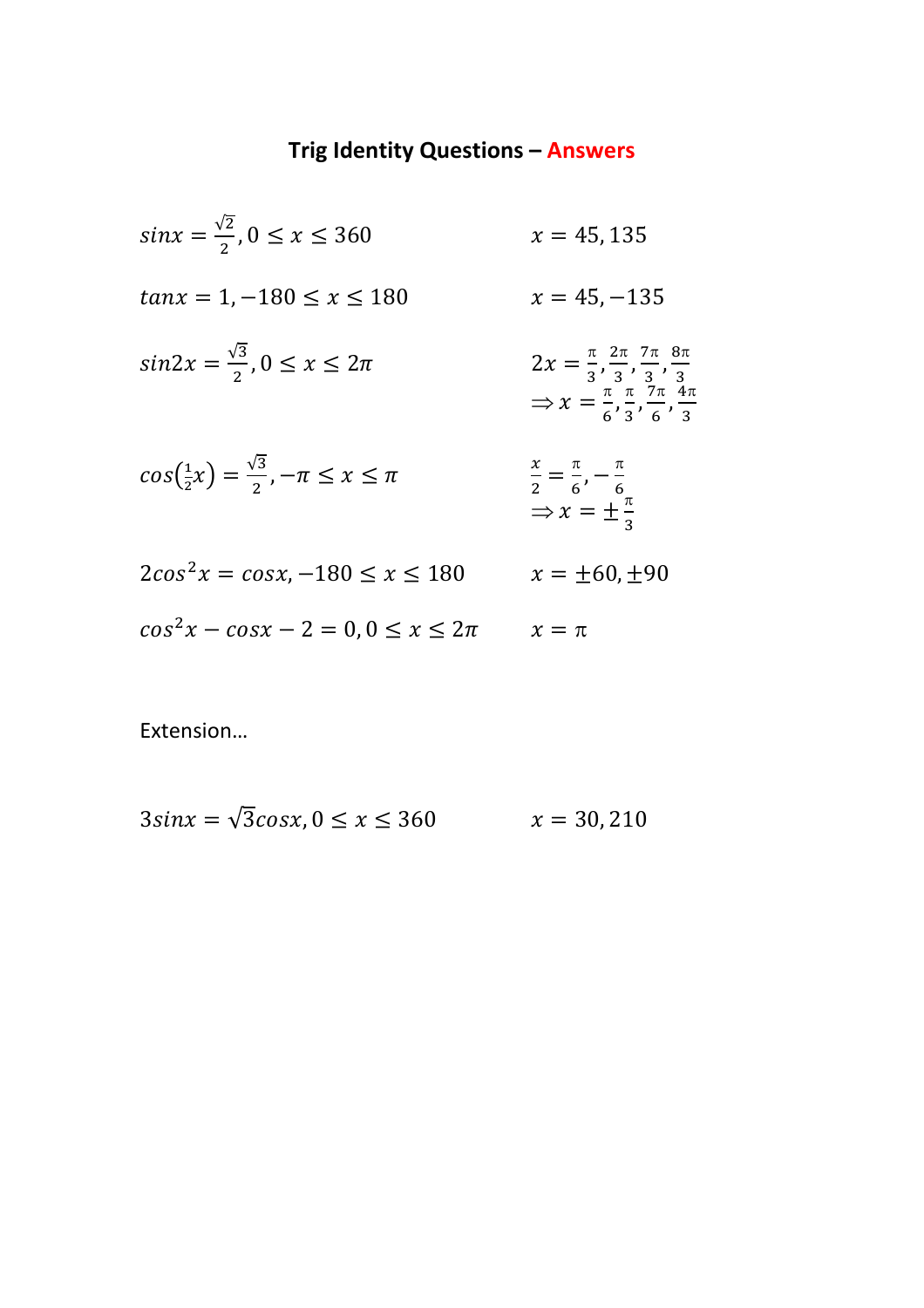## **Trig Identity Questions – Answers**

 $sin x = \frac{\sqrt{2}}{2}$  $\frac{x}{2}$ ,  $0 \le x \le 360$   $x = 45,135$  $tan x = 1, -180 \le x \le 180$   $x = 45, -135$  $sin 2x = \frac{\sqrt{3}}{2}$  $\frac{12}{2}$ ,  $0 \le x \le 2\pi$  2x =  $\pi$  $\frac{\pi}{3}, \frac{2\pi}{3}$  $\frac{2\pi}{3}, \frac{7\pi}{3}$  $\frac{7\pi}{3}, \frac{8\pi}{3}$ 3  $\Rightarrow$  x =  $\frac{\pi}{6}$  $\frac{\pi}{6}$ ,  $\frac{\pi}{3}$  $\frac{\pi}{3}, \frac{7\pi}{6}$  $\frac{7\pi}{6}, \frac{4\pi}{3}$ 3  $cos(\frac{1}{2})$  $(\frac{1}{2}x) = \frac{\sqrt{3}}{2}$  $\frac{\pi}{2}, -\pi \leq x \leq \pi$  $\mathcal{X}$  $\frac{x}{2} = \frac{\pi}{6}$  $\frac{\pi}{6}$ ,  $-\frac{\pi}{6}$ 6  $\Rightarrow x = \pm \frac{\pi}{3}$ 3  $2cos^2 x = cosx, -180 \le x \le 180$   $x = \pm 60, \pm 90$  $cos^2 x - cos x - 2 = 0, 0 \le x \le 2\pi$   $x = \pi$ 

Extension…

$$
3\sin x = \sqrt{3}\cos x, 0 \le x \le 360 \qquad x = 30,210
$$